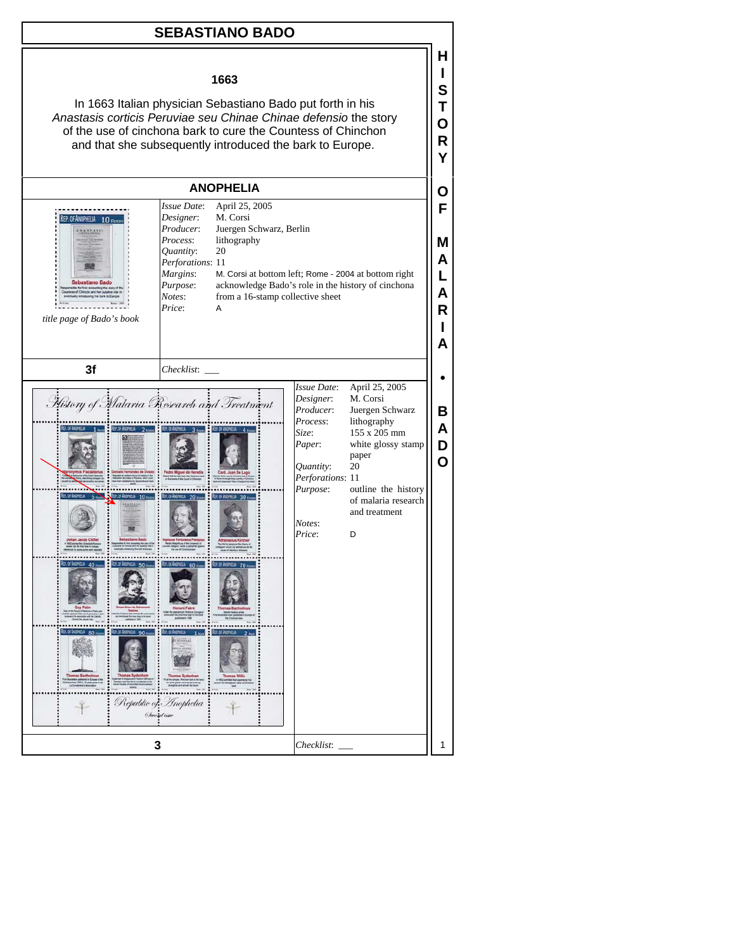